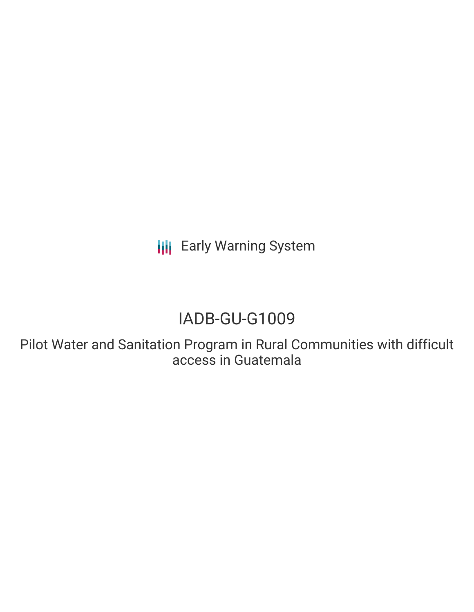**III** Early Warning System

# IADB-GU-G1009

Pilot Water and Sanitation Program in Rural Communities with difficult access in Guatemala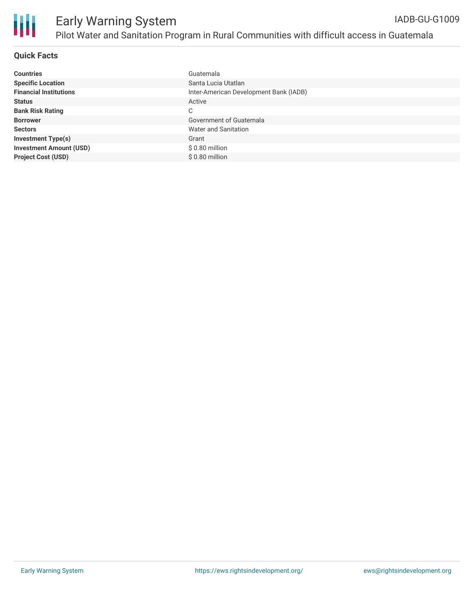

### **Quick Facts**

| <b>Countries</b>               | Guatemala                              |
|--------------------------------|----------------------------------------|
| <b>Specific Location</b>       | Santa Lucia Utatlan                    |
| <b>Financial Institutions</b>  | Inter-American Development Bank (IADB) |
| <b>Status</b>                  | Active                                 |
| <b>Bank Risk Rating</b>        | C                                      |
| <b>Borrower</b>                | Government of Guatemala                |
| <b>Sectors</b>                 | Water and Sanitation                   |
| <b>Investment Type(s)</b>      | Grant                                  |
| <b>Investment Amount (USD)</b> | $$0.80$ million                        |
| <b>Project Cost (USD)</b>      | \$0.80 million                         |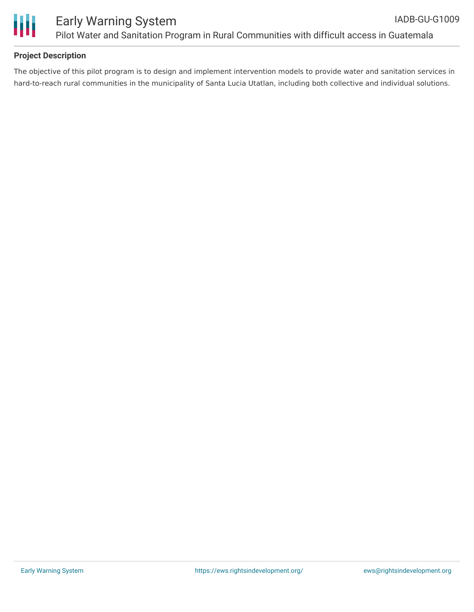

## **Project Description**

The objective of this pilot program is to design and implement intervention models to provide water and sanitation services in hard-to-reach rural communities in the municipality of Santa Lucia Utatlan, including both collective and individual solutions.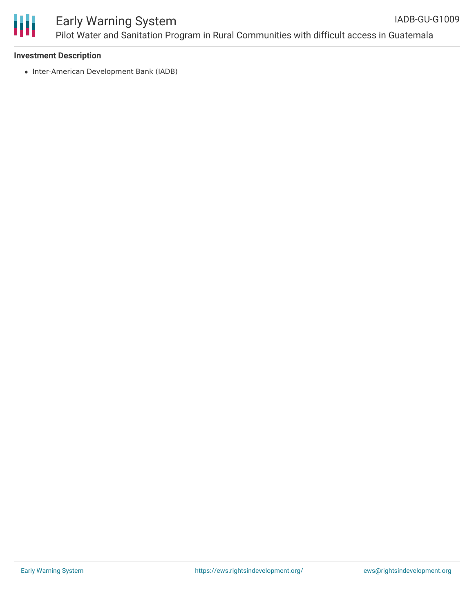

#### Early Warning System Pilot Water and Sanitation Program in Rural Communities with difficult access in Guatemala IADB-GU-G1009

#### **Investment Description**

• Inter-American Development Bank (IADB)